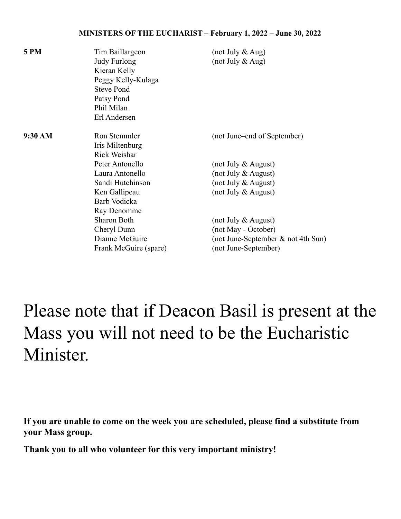## **MINISTERS OF THE EUCHARIST – February 1, 2022 – June 30, 2022**

| <b>5 PM</b> | Tim Baillargeon       | (not July & Aug)                   |
|-------------|-----------------------|------------------------------------|
|             | Judy Furlong          | (not July $&$ Aug)                 |
|             | Kieran Kelly          |                                    |
|             | Peggy Kelly-Kulaga    |                                    |
|             | <b>Steve Pond</b>     |                                    |
|             | Patsy Pond            |                                    |
|             | Phil Milan            |                                    |
|             | Erl Andersen          |                                    |
| 9:30 AM     | Ron Stemmler          | (not June–end of September)        |
|             | Iris Miltenburg       |                                    |
|             | Rick Weishar          |                                    |
|             | Peter Antonello       | (not July $&$ August)              |
|             | Laura Antonello       | (not July $&$ August)              |
|             | Sandi Hutchinson      | (not July $&$ August)              |
|             | Ken Gallipeau         | (not July & August)                |
|             | Barb Vodicka          |                                    |
|             | Ray Denomme           |                                    |
|             | Sharon Both           | (not July $&$ August)              |
|             | Cheryl Dunn           | (not May - October)                |
|             | Dianne McGuire        | (not June-September & not 4th Sun) |
|             | Frank McGuire (spare) | (not June-September)               |
|             |                       |                                    |

## Please note that if Deacon Basil is present at the Mass you will not need to be the Eucharistic Minister.

**If you are unable to come on the week you are scheduled, please find a substitute from your Mass group.**

**Thank you to all who volunteer for this very important ministry!**